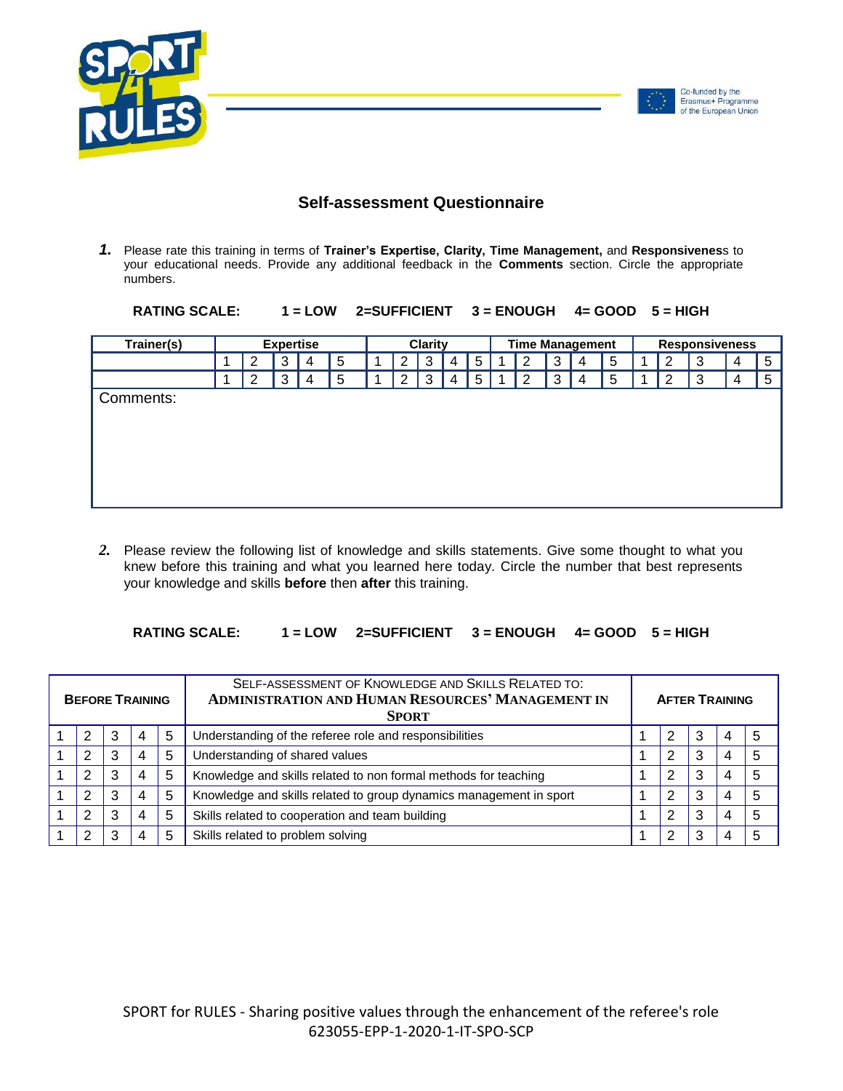

## **Self-assessment Questionnaire**

*1.* Please rate this training in terms of **Trainer's Expertise, Clarity, Time Management,** and **Responsivenes**s to your educational needs. Provide any additional feedback in the **Comments** section. Circle the appropriate numbers.

| <b>RATING SCALE:</b> |  | $1 = LOW$ 2=SUFFICIENT $3 = ENOUGH$ 4= GOOD $5 = HIGH$ |  |  |  |
|----------------------|--|--------------------------------------------------------|--|--|--|
|----------------------|--|--------------------------------------------------------|--|--|--|

| Trainer(s) | <b>Expertise</b> |   |   |   | <b>Clarity</b> |   |   |   | <b>Time Management</b> |   |   |   |   |   | <b>Responsiveness</b> |   |   |   |
|------------|------------------|---|---|---|----------------|---|---|---|------------------------|---|---|---|---|---|-----------------------|---|---|---|
|            |                  | 2 | 3 | 4 | 5              | 2 | 3 | 4 | 5                      |   | 2 | 3 | 4 | 5 | 2                     | 3 | 4 | 5 |
|            |                  | 2 | 3 | 4 | 5              | າ | 3 | 4 | 5                      | 4 | 2 | 3 | 4 | 5 | C                     | 3 | 4 | 5 |
| Comments:  |                  |   |   |   |                |   |   |   |                        |   |   |   |   |   |                       |   |   |   |
|            |                  |   |   |   |                |   |   |   |                        |   |   |   |   |   |                       |   |   |   |
|            |                  |   |   |   |                |   |   |   |                        |   |   |   |   |   |                       |   |   |   |
|            |                  |   |   |   |                |   |   |   |                        |   |   |   |   |   |                       |   |   |   |
|            |                  |   |   |   |                |   |   |   |                        |   |   |   |   |   |                       |   |   |   |
|            |                  |   |   |   |                |   |   |   |                        |   |   |   |   |   |                       |   |   |   |

*2.* Please review the following list of knowledge and skills statements. Give some thought to what you knew before this training and what you learned here today. Circle the number that best represents your knowledge and skills **before** then **after** this training.

## **RATING SCALE: 1 = LOW 2=SUFFICIENT 3 = ENOUGH 4= GOOD 5 = HIGH**

| <b>BEFORE TRAINING</b> |                |   |   |   | SELF-ASSESSMENT OF KNOWLEDGE AND SKILLS RELATED TO:<br><b>ADMINISTRATION AND HUMAN RESOURCES' MANAGEMENT IN</b><br><b>SPORT</b> | <b>AFTER TRAINING</b> |   |   |   |   |  |
|------------------------|----------------|---|---|---|---------------------------------------------------------------------------------------------------------------------------------|-----------------------|---|---|---|---|--|
|                        | 2              | 3 | 4 | 5 | Understanding of the referee role and responsibilities                                                                          |                       | 2 | 3 |   | 5 |  |
|                        | 2              |   | 4 | 5 | Understanding of shared values                                                                                                  |                       | 2 | 3 | 4 | 5 |  |
|                        | $\overline{2}$ | 3 | 4 | 5 | Knowledge and skills related to non formal methods for teaching                                                                 |                       | 2 | 3 | 4 | 5 |  |
|                        | 2              | 3 | 4 | 5 | Knowledge and skills related to group dynamics management in sport                                                              |                       | 2 | 3 | 4 | 5 |  |
|                        | 2              | 3 | 4 | 5 | Skills related to cooperation and team building                                                                                 |                       | 2 | 3 |   | 5 |  |
|                        | 2              | 3 | 4 | 5 | Skills related to problem solving                                                                                               |                       | 2 | 3 |   | 5 |  |